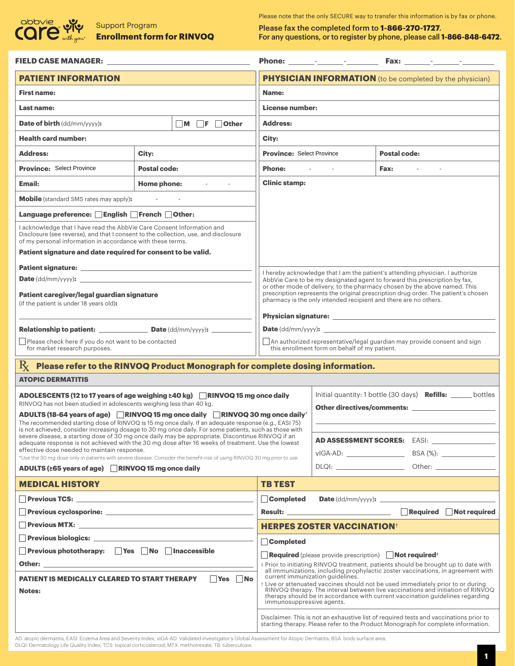

Please note that the only SECURE way to transfer this information is by fax or phone.

Please fax the completed form to **1-866-270-1727**. **Enrollment form for RINVOQ** For any questions, or to register by phone, please call 1-866-848-6472.

| FIELD CASE MANAGER: The contract of the contract of the contract of the contract of the contract of the contract of the contract of the contract of the contract of the contract of the contract of the contract of the contra                                                                                                                                                                         |                                                                                                                                                                                                                                                                                                                                                                                                                                                                   |                                                                                                                                                                                                          |                                    |                       |
|--------------------------------------------------------------------------------------------------------------------------------------------------------------------------------------------------------------------------------------------------------------------------------------------------------------------------------------------------------------------------------------------------------|-------------------------------------------------------------------------------------------------------------------------------------------------------------------------------------------------------------------------------------------------------------------------------------------------------------------------------------------------------------------------------------------------------------------------------------------------------------------|----------------------------------------------------------------------------------------------------------------------------------------------------------------------------------------------------------|------------------------------------|-----------------------|
| <b>PATIENT INFORMATION</b>                                                                                                                                                                                                                                                                                                                                                                             |                                                                                                                                                                                                                                                                                                                                                                                                                                                                   | <b>PHYSICIAN INFORMATION</b> (to be completed by the physician)                                                                                                                                          |                                    |                       |
| <b>First name:</b>                                                                                                                                                                                                                                                                                                                                                                                     | Name:                                                                                                                                                                                                                                                                                                                                                                                                                                                             |                                                                                                                                                                                                          |                                    |                       |
| <b>Last name:</b>                                                                                                                                                                                                                                                                                                                                                                                      | License number:                                                                                                                                                                                                                                                                                                                                                                                                                                                   |                                                                                                                                                                                                          |                                    |                       |
| <b>Date of birth</b> (dd/mm/yyyy):                                                                                                                                                                                                                                                                                                                                                                     | $\neg M$ $\neg F$<br><b>Other</b>                                                                                                                                                                                                                                                                                                                                                                                                                                 | <b>Address:</b>                                                                                                                                                                                          |                                    |                       |
| <b>Health card number:</b>                                                                                                                                                                                                                                                                                                                                                                             |                                                                                                                                                                                                                                                                                                                                                                                                                                                                   | City:                                                                                                                                                                                                    |                                    |                       |
| <b>Address:</b><br>City:                                                                                                                                                                                                                                                                                                                                                                               |                                                                                                                                                                                                                                                                                                                                                                                                                                                                   | <b>Province: Select Province</b><br><b>Postal code:</b>                                                                                                                                                  |                                    |                       |
| <b>Province: Select Province</b>                                                                                                                                                                                                                                                                                                                                                                       | <b>Postal code:</b>                                                                                                                                                                                                                                                                                                                                                                                                                                               | <b>Phone:</b>                                                                                                                                                                                            |                                    | <b>Fax:</b>           |
| <b>Email:</b>                                                                                                                                                                                                                                                                                                                                                                                          | Home phone: The contract of the set of the set of the set of the set of the set of the set of the set of the s                                                                                                                                                                                                                                                                                                                                                    | <b>Clinic stamp:</b>                                                                                                                                                                                     |                                    |                       |
| <b>Mobile</b> (standard SMS rates may apply):                                                                                                                                                                                                                                                                                                                                                          |                                                                                                                                                                                                                                                                                                                                                                                                                                                                   |                                                                                                                                                                                                          |                                    |                       |
| Language preference: English French Other:                                                                                                                                                                                                                                                                                                                                                             |                                                                                                                                                                                                                                                                                                                                                                                                                                                                   |                                                                                                                                                                                                          |                                    |                       |
| I acknowledge that I have read the AbbVie Care Consent Information and<br>Disclosure (see reverse), and that I consent to the collection, use, and disclosure<br>of my personal information in accordance with these terms.<br>Patient signature and date required for consent to be valid.                                                                                                            |                                                                                                                                                                                                                                                                                                                                                                                                                                                                   |                                                                                                                                                                                                          |                                    |                       |
|                                                                                                                                                                                                                                                                                                                                                                                                        | I hereby acknowledge that I am the patient's attending physician. I authorize<br>AbbVie Care to be my designated agent to forward this prescription by fax,<br>or other mode of delivery, to the pharmacy chosen by the above named. This                                                                                                                                                                                                                         |                                                                                                                                                                                                          |                                    |                       |
| <b>Date</b> $(dd/mm/yyyy)$ : $\qquad \qquad \qquad$                                                                                                                                                                                                                                                                                                                                                    |                                                                                                                                                                                                                                                                                                                                                                                                                                                                   |                                                                                                                                                                                                          |                                    |                       |
| Patient caregiver/legal guardian signature<br>(if the patient is under 18 years old):                                                                                                                                                                                                                                                                                                                  |                                                                                                                                                                                                                                                                                                                                                                                                                                                                   | prescription represents the original prescription drug order. The patient's chosen<br>pharmacy is the only intended recipient and there are no others.<br>Physician signature:                           |                                    |                       |
| <b>Relationship to patient:</b> $\qquad \qquad \qquad$ Date (dd/mm/yyyy): $\qquad \qquad$                                                                                                                                                                                                                                                                                                              | <b>Date</b> $\frac{dd}{m}$ / $\frac{yyyy}{x}$                                                                                                                                                                                                                                                                                                                                                                                                                     |                                                                                                                                                                                                          |                                    |                       |
| Please check here if you do not want to be contacted<br>for market research purposes.                                                                                                                                                                                                                                                                                                                  | An authorized representative/legal guardian may provide consent and sign<br>this enrollment form on behalf of my patient.                                                                                                                                                                                                                                                                                                                                         |                                                                                                                                                                                                          |                                    |                       |
| Please refer to the RINVOQ Product Monograph for complete dosing information.<br>$R_{\rm X}$                                                                                                                                                                                                                                                                                                           |                                                                                                                                                                                                                                                                                                                                                                                                                                                                   |                                                                                                                                                                                                          |                                    |                       |
| <b>ATOPIC DERMATITIS</b>                                                                                                                                                                                                                                                                                                                                                                               |                                                                                                                                                                                                                                                                                                                                                                                                                                                                   |                                                                                                                                                                                                          |                                    |                       |
| ADOLESCENTS (12 to 17 years of age weighing $\geq 40$ kg) RINVOQ 15 mg once daily<br>RINVOQ has not been studied in adolescents weighing less than 40 kg.<br>ADULTS (18-64 years of age) RINVOQ 15 mg once daily RINVOQ 30 mg once daily *                                                                                                                                                             | Initial quantity: 1 bottle (30 days) <b>Refills:</b> ______ bottles<br>Other directives/comments:                                                                                                                                                                                                                                                                                                                                                                 |                                                                                                                                                                                                          |                                    |                       |
| The recommended starting dose of RINVOQ is 15 mg once daily. If an adequate response (e.g., EASI 75)                                                                                                                                                                                                                                                                                                   |                                                                                                                                                                                                                                                                                                                                                                                                                                                                   |                                                                                                                                                                                                          |                                    |                       |
| is not achieved, consider increasing dosage to 30 mg once daily. For some patients, such as those with<br>severe disease, a starting dose of 30 mg once daily may be appropriate. Discontinue RINVOQ if an<br>adequate response is not achieved with the 30 mg dose after 16 weeks of treatment. Use the lowest                                                                                        |                                                                                                                                                                                                                                                                                                                                                                                                                                                                   |                                                                                                                                                                                                          | <b>AD ASSESSMENT SCORES:</b> EASI: |                       |
| effective dose needed to maintain response.<br>*Use the 30 mg dose only in patients with severe disease. Consider the benefit-risk of using RINVOQ 30 mg prior to use.                                                                                                                                                                                                                                 |                                                                                                                                                                                                                                                                                                                                                                                                                                                                   |                                                                                                                                                                                                          |                                    |                       |
| ADULTS (≥65 years of age) RINVOQ 15 mg once daily                                                                                                                                                                                                                                                                                                                                                      |                                                                                                                                                                                                                                                                                                                                                                                                                                                                   |                                                                                                                                                                                                          | DLQI: Other: Other:                |                       |
| <b>MEDICAL HISTORY</b><br><b>TB TEST</b><br>$\mathcal{L}^{\text{max}}_{\text{max}}$ and $\mathcal{L}^{\text{max}}_{\text{max}}$ and $\mathcal{L}^{\text{max}}_{\text{max}}$ and $\mathcal{L}^{\text{max}}_{\text{max}}$<br>$\mathcal{L}^{\text{max}}_{\text{max}}$ and $\mathcal{L}^{\text{max}}_{\text{max}}$ and $\mathcal{L}^{\text{max}}_{\text{max}}$ and $\mathcal{L}^{\text{max}}_{\text{max}}$ |                                                                                                                                                                                                                                                                                                                                                                                                                                                                   |                                                                                                                                                                                                          |                                    |                       |
|                                                                                                                                                                                                                                                                                                                                                                                                        | <b>Department of the CONN CONNOCOL</b>                                                                                                                                                                                                                                                                                                                                                                                                                            | <b>Completed</b>                                                                                                                                                                                         |                                    | Date (dd/mm/yyyy):    |
|                                                                                                                                                                                                                                                                                                                                                                                                        |                                                                                                                                                                                                                                                                                                                                                                                                                                                                   |                                                                                                                                                                                                          | <b>Result: Example 2020</b>        | Required Not required |
|                                                                                                                                                                                                                                                                                                                                                                                                        |                                                                                                                                                                                                                                                                                                                                                                                                                                                                   | <b>HERPES ZOSTER VACCINATION</b> <sup>+</sup>                                                                                                                                                            |                                    |                       |
| <b>Previous biologics: Analysis of the Community of the Community of the Community of the Community of the Community of the Community of the Community of the Community of the Community of the Community of the Community of th</b><br><b>Completed</b>                                                                                                                                               |                                                                                                                                                                                                                                                                                                                                                                                                                                                                   |                                                                                                                                                                                                          |                                    |                       |
| Previous phototherapy: Yes No Inaccessible                                                                                                                                                                                                                                                                                                                                                             |                                                                                                                                                                                                                                                                                                                                                                                                                                                                   | <b>Required</b> (please provide prescription) <b>Not required</b> <sup>#</sup>                                                                                                                           |                                    |                       |
| <b>Other:</b> the contract of the contract of the contract of the contract of the contract of the contract of the contract of the contract of the contract of the contract of the contract of the contract of the contract of the c<br><b>PATIENT IS MEDICALLY CLEARED TO START THERAPY</b><br><b>Notes:</b>                                                                                           | # Prior to initiating RINVOQ treatment, patients should be brought up to date with<br>all immunizations, including prophylactic zoster vaccinations, in agreement with<br>current immunization guidelines.<br>t Live or attenuated vaccines should not be used immediately prior to or during<br>RINVOQ therapy. The interval between live vaccinations and initiation of RINVOQ<br>therapy should be in accordance with current vaccination guidelines regarding |                                                                                                                                                                                                          |                                    |                       |
|                                                                                                                                                                                                                                                                                                                                                                                                        |                                                                                                                                                                                                                                                                                                                                                                                                                                                                   | immunosuppressive agents.<br>Disclaimer: This is not an exhaustive list of required tests and vaccinations prior to<br>starting therapy. Please refer to the Product Monograph for complete information. |                                    |                       |

AD: atopic dermatitis; EASI: Eczema Area and Severity Index; vIGA-AD: Validated Investigator's Global Assessment for Atopic Dermatitis; BSA: body surface area; DLQI: Dermatology Life Quality Index; TCS: topical corticosteroid; MTX: methotrexate; TB: tuberculosis.